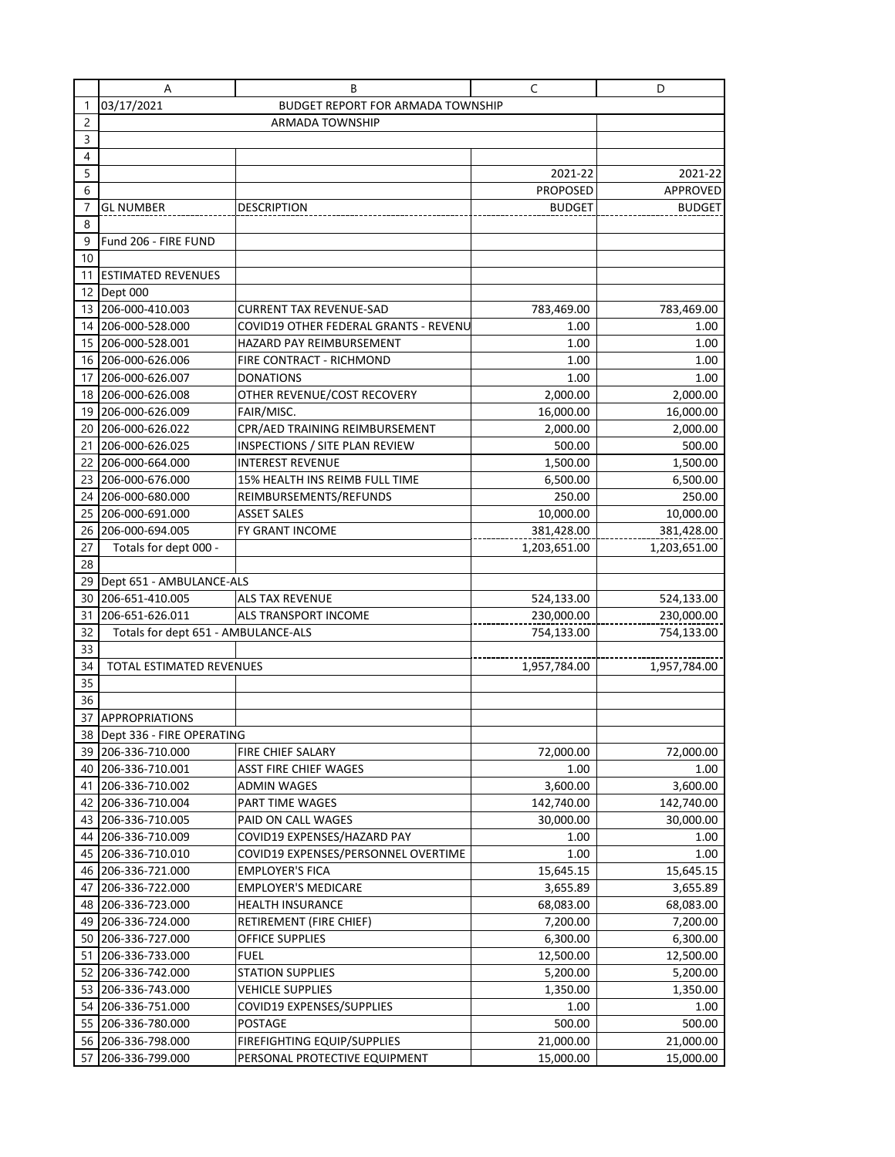|                | Α                                     | В                                                                  | C                     | D                     |  |  |
|----------------|---------------------------------------|--------------------------------------------------------------------|-----------------------|-----------------------|--|--|
| 1              | 03/17/2021                            |                                                                    |                       |                       |  |  |
| $\overline{c}$ |                                       |                                                                    |                       |                       |  |  |
| $\overline{3}$ |                                       |                                                                    |                       |                       |  |  |
| 4              |                                       |                                                                    |                       |                       |  |  |
| 5              |                                       |                                                                    | 2021-22               | 2021-22               |  |  |
| 6              |                                       |                                                                    | <b>PROPOSED</b>       | APPROVED              |  |  |
| 7              | <b>GL NUMBER</b>                      | <b>DESCRIPTION</b>                                                 | <b>BUDGET</b>         | <b>BUDGET</b>         |  |  |
| 8              |                                       |                                                                    |                       |                       |  |  |
| 9              | Fund 206 - FIRE FUND                  |                                                                    |                       |                       |  |  |
| 10             |                                       |                                                                    |                       |                       |  |  |
| 11             | <b>ESTIMATED REVENUES</b>             |                                                                    |                       |                       |  |  |
|                | 12 Dept 000                           |                                                                    |                       |                       |  |  |
|                | 13 206-000-410.003                    | CURRENT TAX REVENUE-SAD                                            | 783,469.00            | 783,469.00            |  |  |
|                | 14 206-000-528.000                    | COVID19 OTHER FEDERAL GRANTS - REVENU                              | 1.00                  | 1.00                  |  |  |
| 15             | 206-000-528.001                       | HAZARD PAY REIMBURSEMENT                                           | 1.00                  | 1.00                  |  |  |
|                | 16 206-000-626.006                    | FIRE CONTRACT - RICHMOND                                           | 1.00                  | 1.00                  |  |  |
| 17             | 206-000-626.007                       | <b>DONATIONS</b>                                                   | 1.00                  | 1.00                  |  |  |
|                | 18 206-000-626.008                    | OTHER REVENUE/COST RECOVERY                                        | 2,000.00              | 2,000.00              |  |  |
| 19             | 206-000-626.009                       | FAIR/MISC.                                                         | 16,000.00             | 16,000.00             |  |  |
| 20             | 206-000-626.022                       | CPR/AED TRAINING REIMBURSEMENT                                     | 2,000.00              | 2,000.00              |  |  |
| 21             | 206-000-626.025                       | INSPECTIONS / SITE PLAN REVIEW                                     | 500.00                | 500.00                |  |  |
| 22             | 206-000-664.000                       | <b>INTEREST REVENUE</b>                                            | 1,500.00              | 1,500.00              |  |  |
| 23             | 206-000-676.000                       | 15% HEALTH INS REIMB FULL TIME                                     | 6,500.00              | 6,500.00              |  |  |
| 24             | 206-000-680.000                       | REIMBURSEMENTS/REFUNDS                                             | 250.00                | 250.00                |  |  |
| 25             | 206-000-691.000                       | <b>ASSET SALES</b>                                                 | 10,000.00             | 10,000.00             |  |  |
| 26             | 206-000-694.005                       | FY GRANT INCOME                                                    | 381,428.00            | 381,428.00            |  |  |
| 27             | Totals for dept 000 -                 |                                                                    | 1,203,651.00          | 1,203,651.00          |  |  |
| 28             |                                       |                                                                    |                       |                       |  |  |
| 29             | Dept 651 - AMBULANCE-ALS              |                                                                    |                       |                       |  |  |
|                | 30 206-651-410.005                    | ALS TAX REVENUE                                                    | 524,133.00            | 524,133.00            |  |  |
| 31             | 206-651-626.011                       | ALS TRANSPORT INCOME                                               | 230,000.00            | 230,000.00            |  |  |
| 32             | Totals for dept 651 - AMBULANCE-ALS   |                                                                    | 754,133.00            | 754,133.00            |  |  |
| 33             |                                       |                                                                    |                       |                       |  |  |
| 34             | TOTAL ESTIMATED REVENUES              |                                                                    | 1,957,784.00          | 1,957,784.00          |  |  |
| 35             |                                       |                                                                    |                       |                       |  |  |
| 36             |                                       |                                                                    |                       |                       |  |  |
|                | 37 APPROPRIATIONS                     |                                                                    |                       |                       |  |  |
|                | 38 Dept 336 - FIRE OPERATING          |                                                                    |                       |                       |  |  |
|                | 39 206-336-710.000                    | FIRE CHIEF SALARY                                                  | 72,000.00             | 72,000.00             |  |  |
|                | 40 206-336-710.001                    | ASST FIRE CHIEF WAGES                                              | 1.00                  | 1.00                  |  |  |
| 41             | 206-336-710.002                       | ADMIN WAGES                                                        | 3,600.00              | 3,600.00              |  |  |
| 42             | 206-336-710.004                       | PART TIME WAGES                                                    | 142,740.00            | 142,740.00            |  |  |
| 43             | 206-336-710.005                       | PAID ON CALL WAGES                                                 | 30,000.00             | 30,000.00             |  |  |
| 44             | 206-336-710.009                       | COVID19 EXPENSES/HAZARD PAY<br>COVID19 EXPENSES/PERSONNEL OVERTIME | 1.00                  | 1.00                  |  |  |
| 45             | 206-336-710.010                       |                                                                    | 1.00                  | 1.00                  |  |  |
|                | 46 206-336-721.000                    | <b>EMPLOYER'S FICA</b>                                             | 15,645.15             | 15,645.15             |  |  |
| 47             | 206-336-722.000<br>48 206-336-723.000 | <b>EMPLOYER'S MEDICARE</b><br><b>HEALTH INSURANCE</b>              | 3,655.89<br>68,083.00 | 3,655.89<br>68,083.00 |  |  |
|                |                                       |                                                                    |                       |                       |  |  |
| 49  <br>50     | 206-336-724.000                       | RETIREMENT (FIRE CHIEF)<br>OFFICE SUPPLIES                         | 7,200.00              | 7,200.00              |  |  |
| 51             | 206-336-727.000<br>206-336-733.000    | <b>FUEL</b>                                                        | 6,300.00<br>12,500.00 | 6,300.00<br>12,500.00 |  |  |
| 52             | 206-336-742.000                       | <b>STATION SUPPLIES</b>                                            | 5,200.00              | 5,200.00              |  |  |
|                | 53 206-336-743.000                    | VEHICLE SUPPLIES                                                   | 1,350.00              | 1,350.00              |  |  |
| 54             | 206-336-751.000                       | COVID19 EXPENSES/SUPPLIES                                          | 1.00                  | 1.00                  |  |  |
| 55             | 206-336-780.000                       | POSTAGE                                                            | 500.00                | 500.00                |  |  |
|                | 56 206-336-798.000                    | FIREFIGHTING EQUIP/SUPPLIES                                        | 21,000.00             | 21,000.00             |  |  |
| 57             | 206-336-799.000                       | PERSONAL PROTECTIVE EQUIPMENT                                      | 15,000.00             | 15,000.00             |  |  |
|                |                                       |                                                                    |                       |                       |  |  |